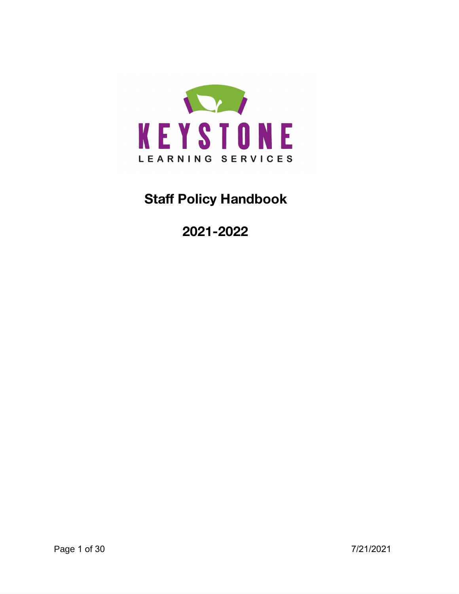

# **Staff Policy Handbook**

**2021-2022**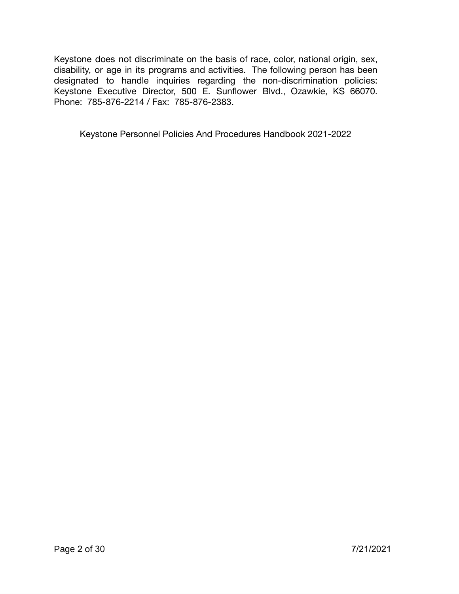Keystone does not discriminate on the basis of race, color, national origin, sex, disability, or age in its programs and activities. The following person has been designated to handle inquiries regarding the non-discrimination policies: Keystone Executive Director, 500 E. Sunflower Blvd., Ozawkie, KS 66070. Phone: 785-876-2214 / Fax: 785-876-2383.

Keystone Personnel Policies And Procedures Handbook 2021-2022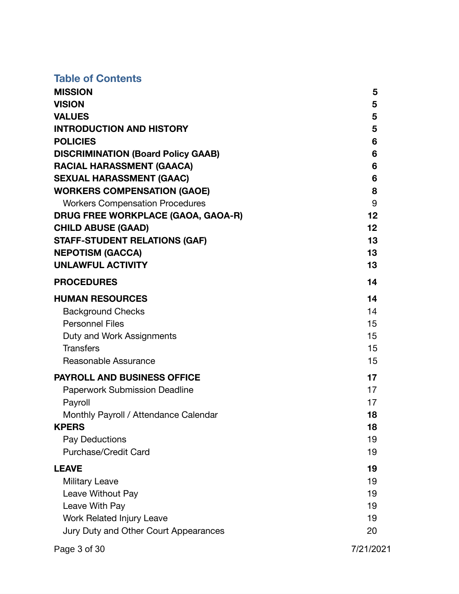# **Table of Contents**

| <b>MISSION</b>                            | 5               |
|-------------------------------------------|-----------------|
| <b>VISION</b>                             | 5               |
| <b>VALUES</b>                             | $5\phantom{1}$  |
| <b>INTRODUCTION AND HISTORY</b>           | 5               |
| <b>POLICIES</b>                           | 6               |
| <b>DISCRIMINATION (Board Policy GAAB)</b> | 6               |
| <b>RACIAL HARASSMENT (GAACA)</b>          | 6               |
| <b>SEXUAL HARASSMENT (GAAC)</b>           | 6               |
| <b>WORKERS COMPENSATION (GAOE)</b>        | 8               |
| <b>Workers Compensation Procedures</b>    | 9               |
| DRUG FREE WORKPLACE (GAOA, GAOA-R)        | 12 <sub>2</sub> |
| <b>CHILD ABUSE (GAAD)</b>                 | 12 <sub>2</sub> |
| <b>STAFF-STUDENT RELATIONS (GAF)</b>      | 13              |
| <b>NEPOTISM (GACCA)</b>                   | 13              |
| <b>UNLAWFUL ACTIVITY</b>                  | 13              |
| <b>PROCEDURES</b>                         | 14              |
| <b>HUMAN RESOURCES</b>                    | 14              |
| <b>Background Checks</b>                  | 14              |
| <b>Personnel Files</b>                    | 15              |
| Duty and Work Assignments                 | 15              |
| <b>Transfers</b>                          | 15              |
| Reasonable Assurance                      | 15              |
| <b>PAYROLL AND BUSINESS OFFICE</b>        | 17              |
| <b>Paperwork Submission Deadline</b>      | 17              |
| Payroll                                   | 17              |
| Monthly Payroll / Attendance Calendar     | 18              |
| <b>KPERS</b>                              | 18              |
| Pay Deductions                            | 19              |
| <b>Purchase/Credit Card</b>               | 19              |
| <b>LEAVE</b>                              | 19              |
| Military Leave                            | 19              |
| Leave Without Pay                         | 19              |
| Leave With Pay                            | 19              |
| Work Related Injury Leave                 | 19              |
| Jury Duty and Other Court Appearances     | 20              |
|                                           |                 |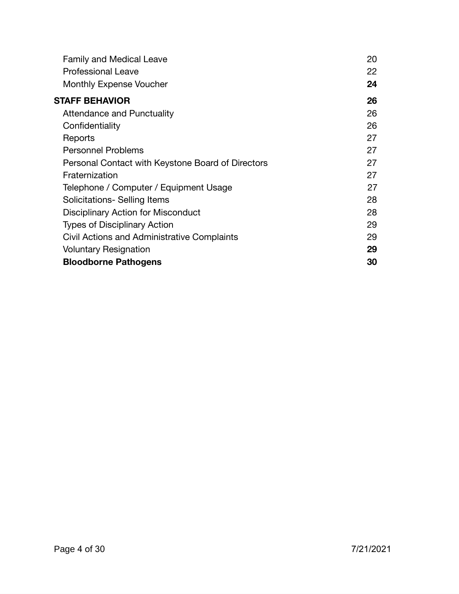| <b>Family and Medical Leave</b>                   | 20 |
|---------------------------------------------------|----|
| <b>Professional Leave</b>                         | 22 |
| Monthly Expense Voucher                           | 24 |
| STAFF BEHAVIOR                                    | 26 |
| <b>Attendance and Punctuality</b>                 | 26 |
| Confidentiality                                   | 26 |
| Reports                                           | 27 |
| <b>Personnel Problems</b>                         | 27 |
| Personal Contact with Keystone Board of Directors | 27 |
| Fraternization                                    | 27 |
| Telephone / Computer / Equipment Usage            | 27 |
| Solicitations- Selling Items                      | 28 |
| Disciplinary Action for Misconduct                | 28 |
| <b>Types of Disciplinary Action</b>               | 29 |
| Civil Actions and Administrative Complaints       | 29 |
| <b>Voluntary Resignation</b>                      | 29 |
| <b>Bloodborne Pathogens</b>                       | 30 |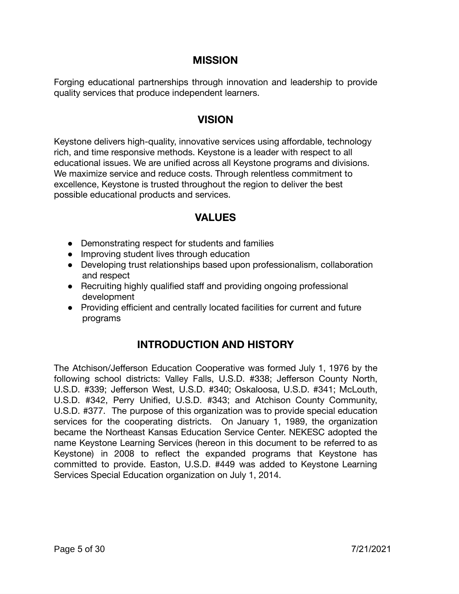# **MISSION**

Forging educational partnerships through innovation and leadership to provide quality services that produce independent learners.

### **VISION**

Keystone delivers high-quality, innovative services using affordable, technology rich, and time responsive methods. Keystone is a leader with respect to all educational issues. We are unified across all Keystone programs and divisions. We maximize service and reduce costs. Through relentless commitment to excellence, Keystone is trusted throughout the region to deliver the best possible educational products and services.

### **VALUES**

- Demonstrating respect for students and families
- Improving student lives through education
- Developing trust relationships based upon professionalism, collaboration and respect
- Recruiting highly qualified staff and providing ongoing professional development
- Providing efficient and centrally located facilities for current and future programs

# **INTRODUCTION AND HISTORY**

The Atchison/Jefferson Education Cooperative was formed July 1, 1976 by the following school districts: Valley Falls, U.S.D. #338; Jefferson County North, U.S.D. #339; Jefferson West, U.S.D. #340; Oskaloosa, U.S.D. #341; McLouth, U.S.D. #342, Perry Unified, U.S.D. #343; and Atchison County Community, U.S.D. #377. The purpose of this organization was to provide special education services for the cooperating districts. On January 1, 1989, the organization became the Northeast Kansas Education Service Center. NEKESC adopted the name Keystone Learning Services (hereon in this document to be referred to as Keystone) in 2008 to reflect the expanded programs that Keystone has committed to provide. Easton, U.S.D. #449 was added to Keystone Learning Services Special Education organization on July 1, 2014.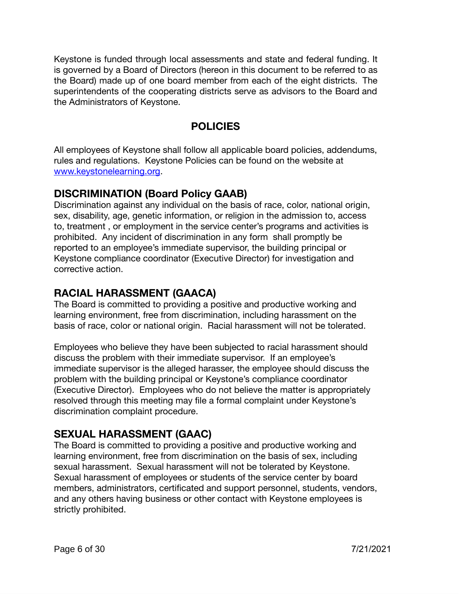Keystone is funded through local assessments and state and federal funding. It is governed by a Board of Directors (hereon in this document to be referred to as the Board) made up of one board member from each of the eight districts. The superintendents of the cooperating districts serve as advisors to the Board and the Administrators of Keystone.

# **POLICIES**

All employees of Keystone shall follow all applicable board policies, addendums, rules and regulations. Keystone Policies can be found on the website at [www.keystonelearning.org.](http://www.keystonelearning.org/)

# **DISCRIMINATION (Board Policy GAAB)**

Discrimination against any individual on the basis of race, color, national origin, sex, disability, age, genetic information, or religion in the admission to, access to, treatment , or employment in the service center's programs and activities is prohibited. Any incident of discrimination in any form shall promptly be reported to an employee's immediate supervisor, the building principal or Keystone compliance coordinator (Executive Director) for investigation and corrective action.

# **RACIAL HARASSMENT (GAACA)**

The Board is committed to providing a positive and productive working and learning environment, free from discrimination, including harassment on the basis of race, color or national origin. Racial harassment will not be tolerated.

Employees who believe they have been subjected to racial harassment should discuss the problem with their immediate supervisor. If an employee's immediate supervisor is the alleged harasser, the employee should discuss the problem with the building principal or Keystone's compliance coordinator (Executive Director). Employees who do not believe the matter is appropriately resolved through this meeting may file a formal complaint under Keystone's discrimination complaint procedure.

# **SEXUAL HARASSMENT (GAAC)**

The Board is committed to providing a positive and productive working and learning environment, free from discrimination on the basis of sex, including sexual harassment. Sexual harassment will not be tolerated by Keystone. Sexual harassment of employees or students of the service center by board members, administrators, certificated and support personnel, students, vendors, and any others having business or other contact with Keystone employees is strictly prohibited.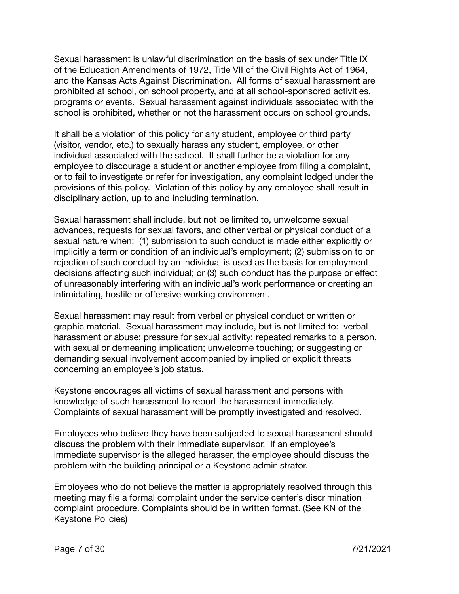Sexual harassment is unlawful discrimination on the basis of sex under Title IX of the Education Amendments of 1972, Title VII of the Civil Rights Act of 1964, and the Kansas Acts Against Discrimination. All forms of sexual harassment are prohibited at school, on school property, and at all school-sponsored activities, programs or events. Sexual harassment against individuals associated with the school is prohibited, whether or not the harassment occurs on school grounds.

It shall be a violation of this policy for any student, employee or third party (visitor, vendor, etc.) to sexually harass any student, employee, or other individual associated with the school. It shall further be a violation for any employee to discourage a student or another employee from filing a complaint, or to fail to investigate or refer for investigation, any complaint lodged under the provisions of this policy. Violation of this policy by any employee shall result in disciplinary action, up to and including termination.

Sexual harassment shall include, but not be limited to, unwelcome sexual advances, requests for sexual favors, and other verbal or physical conduct of a sexual nature when: (1) submission to such conduct is made either explicitly or implicitly a term or condition of an individual's employment; (2) submission to or rejection of such conduct by an individual is used as the basis for employment decisions affecting such individual; or (3) such conduct has the purpose or effect of unreasonably interfering with an individual's work performance or creating an intimidating, hostile or offensive working environment.

Sexual harassment may result from verbal or physical conduct or written or graphic material. Sexual harassment may include, but is not limited to: verbal harassment or abuse; pressure for sexual activity; repeated remarks to a person, with sexual or demeaning implication; unwelcome touching; or suggesting or demanding sexual involvement accompanied by implied or explicit threats concerning an employee's job status.

Keystone encourages all victims of sexual harassment and persons with knowledge of such harassment to report the harassment immediately. Complaints of sexual harassment will be promptly investigated and resolved.

Employees who believe they have been subjected to sexual harassment should discuss the problem with their immediate supervisor. If an employee's immediate supervisor is the alleged harasser, the employee should discuss the problem with the building principal or a Keystone administrator.

Employees who do not believe the matter is appropriately resolved through this meeting may file a formal complaint under the service center's discrimination complaint procedure. Complaints should be in written format. (See KN of the Keystone Policies)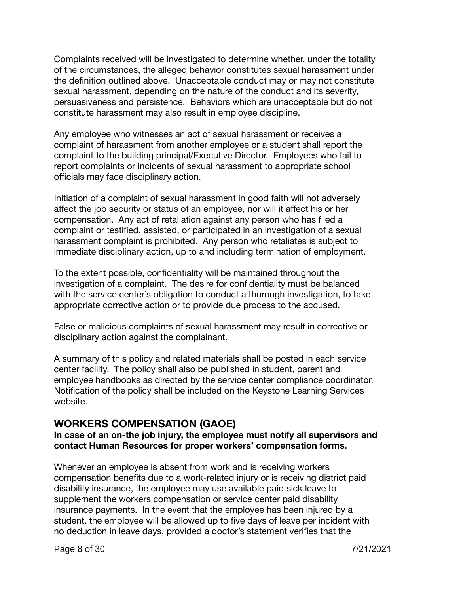Complaints received will be investigated to determine whether, under the totality of the circumstances, the alleged behavior constitutes sexual harassment under the definition outlined above. Unacceptable conduct may or may not constitute sexual harassment, depending on the nature of the conduct and its severity, persuasiveness and persistence. Behaviors which are unacceptable but do not constitute harassment may also result in employee discipline.

Any employee who witnesses an act of sexual harassment or receives a complaint of harassment from another employee or a student shall report the complaint to the building principal/Executive Director. Employees who fail to report complaints or incidents of sexual harassment to appropriate school officials may face disciplinary action.

Initiation of a complaint of sexual harassment in good faith will not adversely affect the job security or status of an employee, nor will it affect his or her compensation. Any act of retaliation against any person who has filed a complaint or testified, assisted, or participated in an investigation of a sexual harassment complaint is prohibited. Any person who retaliates is subject to immediate disciplinary action, up to and including termination of employment.

To the extent possible, confidentiality will be maintained throughout the investigation of a complaint. The desire for confidentiality must be balanced with the service center's obligation to conduct a thorough investigation, to take appropriate corrective action or to provide due process to the accused.

False or malicious complaints of sexual harassment may result in corrective or disciplinary action against the complainant.

A summary of this policy and related materials shall be posted in each service center facility. The policy shall also be published in student, parent and employee handbooks as directed by the service center compliance coordinator. Notification of the policy shall be included on the Keystone Learning Services website.

### **WORKERS COMPENSATION (GAOE)**

#### **In case of an on-the job injury, the employee must notify all supervisors and contact Human Resources for proper workers' compensation forms.**

Whenever an employee is absent from work and is receiving workers compensation benefits due to a work-related injury or is receiving district paid disability insurance, the employee may use available paid sick leave to supplement the workers compensation or service center paid disability insurance payments. In the event that the employee has been injured by a student, the employee will be allowed up to five days of leave per incident with no deduction in leave days, provided a doctor's statement verifies that the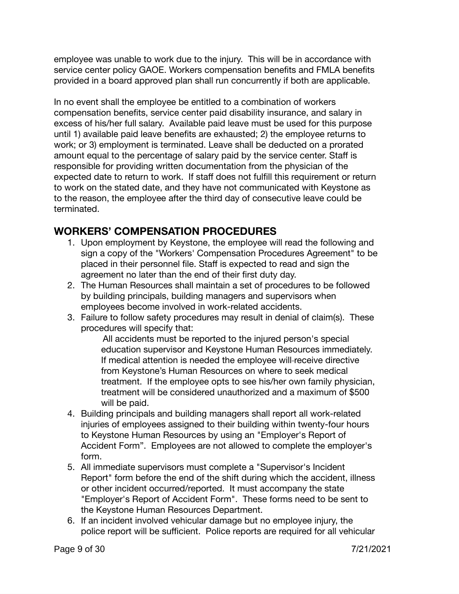employee was unable to work due to the injury. This will be in accordance with service center policy GAOE. Workers compensation benefits and FMLA benefits provided in a board approved plan shall run concurrently if both are applicable.

In no event shall the employee be entitled to a combination of workers compensation benefits, service center paid disability insurance, and salary in excess of his/her full salary. Available paid leave must be used for this purpose until 1) available paid leave benefits are exhausted; 2) the employee returns to work; or 3) employment is terminated. Leave shall be deducted on a prorated amount equal to the percentage of salary paid by the service center. Staff is responsible for providing written documentation from the physician of the expected date to return to work. If staff does not fulfill this requirement or return to work on the stated date, and they have not communicated with Keystone as to the reason, the employee after the third day of consecutive leave could be terminated.

# **WORKERS' COMPENSATION PROCEDURES**

- 1. Upon employment by Keystone, the employee will read the following and sign a copy of the "Workers' Compensation Procedures Agreement" to be placed in their personnel file. Staff is expected to read and sign the agreement no later than the end of their first duty day.
- 2. The Human Resources shall maintain a set of procedures to be followed by building principals, building managers and supervisors when employees become involved in work-related accidents.
- 3. Failure to follow safety procedures may result in denial of claim(s). These procedures will specify that:

All accidents must be reported to the injured person's special education supervisor and Keystone Human Resources immediately. If medical attention is needed the employee will-receive directive from Keystone's Human Resources on where to seek medical treatment. If the employee opts to see his/her own family physician, treatment will be considered unauthorized and a maximum of \$500 will be paid.

- 4. Building principals and building managers shall report all work-related injuries of employees assigned to their building within twenty-four hours to Keystone Human Resources by using an "Employer's Report of Accident Form". Employees are not allowed to complete the employer's form.
- 5. All immediate supervisors must complete a "Supervisor's Incident Report" form before the end of the shift during which the accident, illness or other incident occurred/reported. It must accompany the state "Employer's Report of Accident Form". These forms need to be sent to the Keystone Human Resources Department.
- 6. If an incident involved vehicular damage but no employee injury, the police report will be sufficient. Police reports are required for all vehicular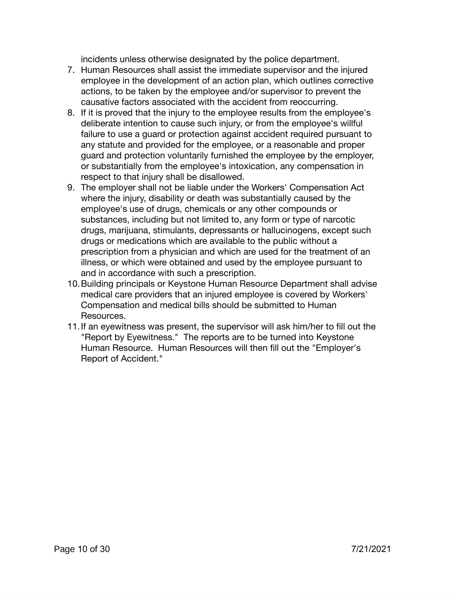incidents unless otherwise designated by the police department.

- 7. Human Resources shall assist the immediate supervisor and the injured employee in the development of an action plan, which outlines corrective actions, to be taken by the employee and/or supervisor to prevent the causative factors associated with the accident from reoccurring.
- 8. If it is proved that the injury to the employee results from the employee's deliberate intention to cause such injury, or from the employee's willful failure to use a guard or protection against accident required pursuant to any statute and provided for the employee, or a reasonable and proper guard and protection voluntarily furnished the employee by the employer, or substantially from the employee's intoxication, any compensation in respect to that injury shall be disallowed.
- 9. The employer shall not be liable under the Workers' Compensation Act where the injury, disability or death was substantially caused by the employee's use of drugs, chemicals or any other compounds or substances, including but not limited to, any form or type of narcotic drugs, marijuana, stimulants, depressants or hallucinogens, except such drugs or medications which are available to the public without a prescription from a physician and which are used for the treatment of an illness, or which were obtained and used by the employee pursuant to and in accordance with such a prescription.
- 10.Building principals or Keystone Human Resource Department shall advise medical care providers that an injured employee is covered by Workers' Compensation and medical bills should be submitted to Human Resources.
- 11.If an eyewitness was present, the supervisor will ask him/her to fill out the "Report by Eyewitness." The reports are to be turned into Keystone Human Resource. Human Resources will then fill out the "Employer's Report of Accident."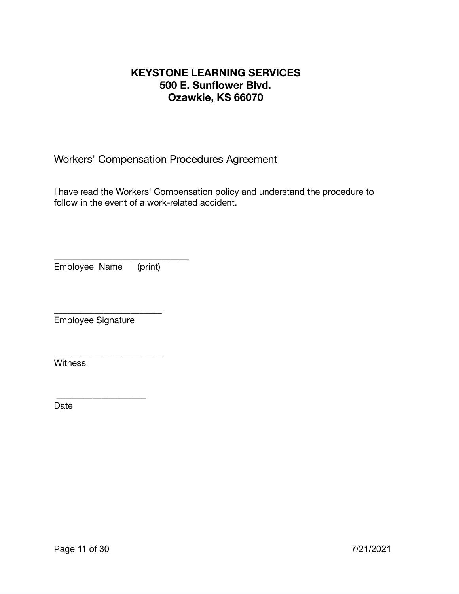# **KEYSTONE LEARNING SERVICES 500 E. Sunflower Blvd. Ozawkie, KS 66070**

Workers' Compensation Procedures Agreement

I have read the Workers' Compensation policy and understand the procedure to follow in the event of a work-related accident.

\_\_\_\_\_\_\_\_\_\_\_\_\_\_\_\_\_\_\_\_\_\_\_\_\_\_\_\_\_\_ Employee Name (print)

\_\_\_\_\_\_\_\_\_\_\_\_\_\_\_\_\_\_\_\_\_\_\_\_

\_\_\_\_\_\_\_\_\_\_\_\_\_\_\_\_\_\_\_\_\_\_\_\_

\_\_\_\_\_\_\_\_\_\_\_\_\_\_\_\_\_\_\_\_

Employee Signature

**Witness** 

Date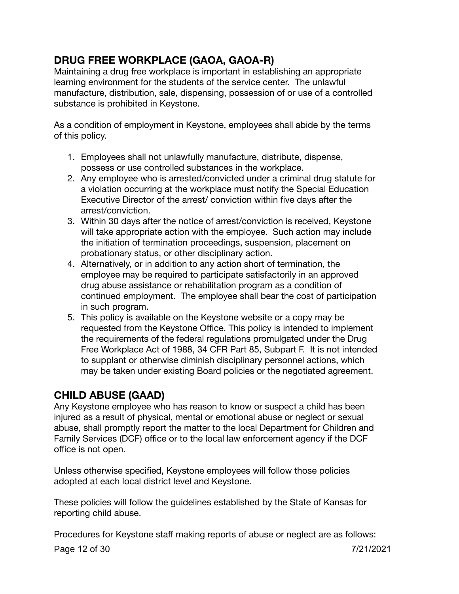# **DRUG FREE WORKPLACE (GAOA, GAOA-R)**

Maintaining a drug free workplace is important in establishing an appropriate learning environment for the students of the service center. The unlawful manufacture, distribution, sale, dispensing, possession of or use of a controlled substance is prohibited in Keystone.

As a condition of employment in Keystone, employees shall abide by the terms of this policy.

- 1. Employees shall not unlawfully manufacture, distribute, dispense, possess or use controlled substances in the workplace.
- 2. Any employee who is arrested/convicted under a criminal drug statute for a violation occurring at the workplace must notify the Special Education Executive Director of the arrest/ conviction within five days after the arrest/conviction.
- 3. Within 30 days after the notice of arrest/conviction is received, Keystone will take appropriate action with the employee. Such action may include the initiation of termination proceedings, suspension, placement on probationary status, or other disciplinary action.
- 4. Alternatively, or in addition to any action short of termination, the employee may be required to participate satisfactorily in an approved drug abuse assistance or rehabilitation program as a condition of continued employment. The employee shall bear the cost of participation in such program.
- 5. This policy is available on the Keystone website or a copy may be requested from the Keystone Office. This policy is intended to implement the requirements of the federal regulations promulgated under the Drug Free Workplace Act of 1988, 34 CFR Part 85, Subpart F. It is not intended to supplant or otherwise diminish disciplinary personnel actions, which may be taken under existing Board policies or the negotiated agreement.

# **CHILD ABUSE (GAAD)**

Any Keystone employee who has reason to know or suspect a child has been injured as a result of physical, mental or emotional abuse or neglect or sexual abuse, shall promptly report the matter to the local Department for Children and Family Services (DCF) office or to the local law enforcement agency if the DCF office is not open.

Unless otherwise specified, Keystone employees will follow those policies adopted at each local district level and Keystone.

These policies will follow the guidelines established by the State of Kansas for reporting child abuse.

Procedures for Keystone staff making reports of abuse or neglect are as follows:

Page 12 of 30 7/21/2021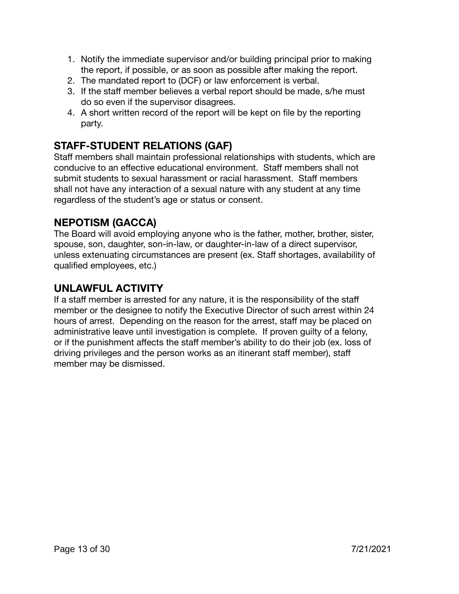- 1. Notify the immediate supervisor and/or building principal prior to making the report, if possible, or as soon as possible after making the report.
- 2. The mandated report to (DCF) or law enforcement is verbal.
- 3. If the staff member believes a verbal report should be made, s/he must do so even if the supervisor disagrees.
- 4. A short written record of the report will be kept on file by the reporting party.

# **STAFF-STUDENT RELATIONS (GAF)**

Staff members shall maintain professional relationships with students, which are conducive to an effective educational environment. Staff members shall not submit students to sexual harassment or racial harassment. Staff members shall not have any interaction of a sexual nature with any student at any time regardless of the student's age or status or consent.

# **NEPOTISM (GACCA)**

The Board will avoid employing anyone who is the father, mother, brother, sister, spouse, son, daughter, son-in-law, or daughter-in-law of a direct supervisor, unless extenuating circumstances are present (ex. Staff shortages, availability of qualified employees, etc.)

# **UNLAWFUL ACTIVITY**

If a staff member is arrested for any nature, it is the responsibility of the staff member or the designee to notify the Executive Director of such arrest within 24 hours of arrest. Depending on the reason for the arrest, staff may be placed on administrative leave until investigation is complete. If proven guilty of a felony, or if the punishment affects the staff member's ability to do their job (ex. loss of driving privileges and the person works as an itinerant staff member), staff member may be dismissed.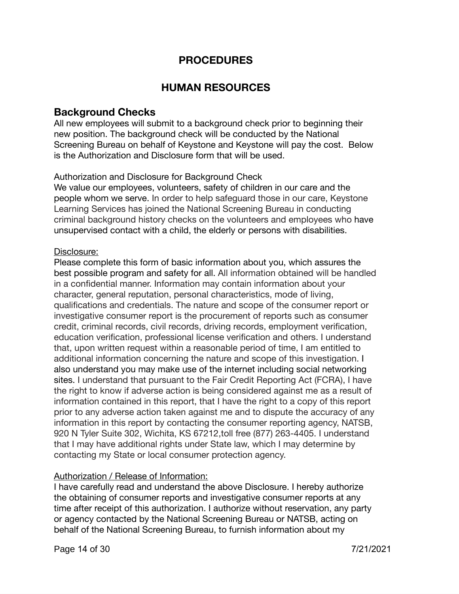# **PROCEDURES**

### **HUMAN RESOURCES**

### **Background Checks**

All new employees will submit to a background check prior to beginning their new position. The background check will be conducted by the National Screening Bureau on behalf of Keystone and Keystone will pay the cost. Below is the Authorization and Disclosure form that will be used.

#### Authorization and Disclosure for Background Check

We value our employees, volunteers, safety of children in our care and the people whom we serve. In order to help safeguard those in our care, Keystone Learning Services has joined the National Screening Bureau in conducting criminal background history checks on the volunteers and employees who have unsupervised contact with a child, the elderly or persons with disabilities.

#### Disclosure:

Please complete this form of basic information about you, which assures the best possible program and safety for all. All information obtained will be handled in a confidential manner. Information may contain information about your character, general reputation, personal characteristics, mode of living, qualifications and credentials. The nature and scope of the consumer report or investigative consumer report is the procurement of reports such as consumer credit, criminal records, civil records, driving records, employment verification, education verification, professional license verification and others. I understand that, upon written request within a reasonable period of time, I am entitled to additional information concerning the nature and scope of this investigation. I also understand you may make use of the internet including social networking sites. I understand that pursuant to the Fair Credit Reporting Act (FCRA), I have the right to know if adverse action is being considered against me as a result of information contained in this report, that I have the right to a copy of this report prior to any adverse action taken against me and to dispute the accuracy of any information in this report by contacting the consumer reporting agency, NATSB, 920 N Tyler Suite 302, Wichita, KS 67212,toll free (877) 263-4405. I understand that I may have additional rights under State law, which I may determine by contacting my State or local consumer protection agency.

#### Authorization / Release of Information:

I have carefully read and understand the above Disclosure. I hereby authorize the obtaining of consumer reports and investigative consumer reports at any time after receipt of this authorization. I authorize without reservation, any party or agency contacted by the National Screening Bureau or NATSB, acting on behalf of the National Screening Bureau, to furnish information about my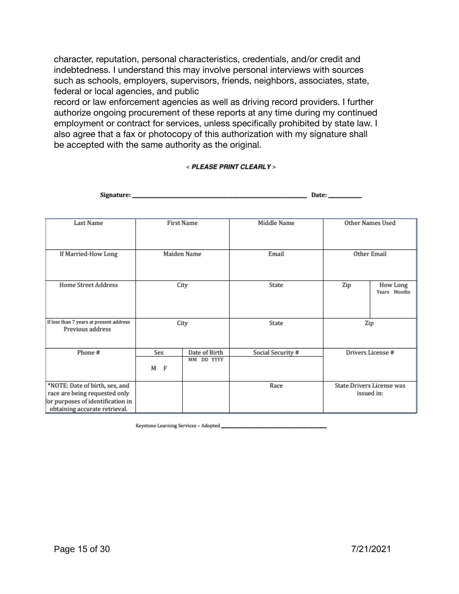character, reputation, personal characteristics, credentials, and/or credit and indebtedness. I understand this may involve personal interviews with sources such as schools, employers, supervisors, friends, neighbors, associates, state, federal or local agencies, and public

record or law enforcement agencies as well as driving record providers. I further authorize ongoing procurement of these reports at any time during my continued employment or contract for services, unless specifically prohibited by state law. I also agree that a fax or photocopy of this authorization with my signature shall be accepted with the same authority as the original.

#### < PLEASE PRINT CLEARLY >

| signature: ________                                                                                                                   |             |                             |                   | Date:             |                                         |
|---------------------------------------------------------------------------------------------------------------------------------------|-------------|-----------------------------|-------------------|-------------------|-----------------------------------------|
| Last Name                                                                                                                             | First Name  |                             | Middle Name       |                   | Other Names Used                        |
| If Married-How Long                                                                                                                   | Maiden Name |                             | Email             | Other Email       |                                         |
| <b>Home Street Address</b>                                                                                                            | City        |                             | State             | Zip               | How Long<br>Years Months                |
| If less than 7 years at present address<br>Previous address                                                                           | City        |                             | State             | Zip               |                                         |
| Phone#                                                                                                                                | Sex<br>M F  | Date of Birth<br>MM DD YYYY | Social Security # | Drivers License # |                                         |
| *NOTE: Date of birth, sex, and<br>race are being requested only<br>for purposes of identification in<br>obtaining accurate retrieval. |             |                             | Race              |                   | State Drivers License was<br>issued in: |

 $\mathbf{r}$ 

Keystone Learning Services - Adopted \_\_\_\_

 $\mathbf{e}_{1}$  and  $\mathbf{e}_{2}$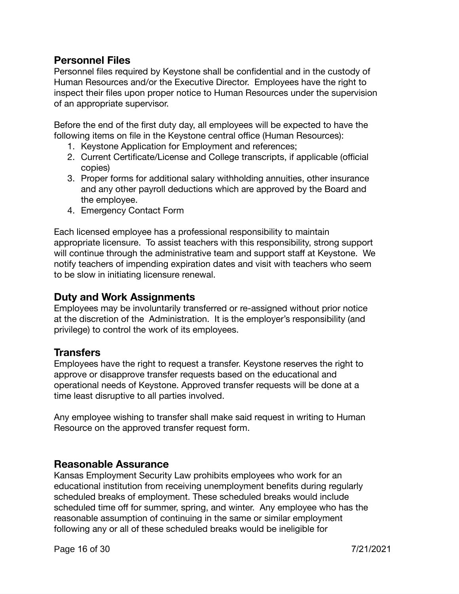### **Personnel Files**

Personnel files required by Keystone shall be confidential and in the custody of Human Resources and/or the Executive Director. Employees have the right to inspect their files upon proper notice to Human Resources under the supervision of an appropriate supervisor.

Before the end of the first duty day, all employees will be expected to have the following items on file in the Keystone central office (Human Resources):

- 1. Keystone Application for Employment and references;
- 2. Current Certificate/License and College transcripts, if applicable (official copies)
- 3. Proper forms for additional salary withholding annuities, other insurance and any other payroll deductions which are approved by the Board and the employee.
- 4. Emergency Contact Form

Each licensed employee has a professional responsibility to maintain appropriate licensure. To assist teachers with this responsibility, strong support will continue through the administrative team and support staff at Keystone. We notify teachers of impending expiration dates and visit with teachers who seem to be slow in initiating licensure renewal.

### **Duty and Work Assignments**

Employees may be involuntarily transferred or re-assigned without prior notice at the discretion of the Administration. It is the employer's responsibility (and privilege) to control the work of its employees.

### **Transfers**

Employees have the right to request a transfer. Keystone reserves the right to approve or disapprove transfer requests based on the educational and operational needs of Keystone. Approved transfer requests will be done at a time least disruptive to all parties involved.

Any employee wishing to transfer shall make said request in writing to Human Resource on the approved transfer request form.

### **Reasonable Assurance**

Kansas Employment Security Law prohibits employees who work for an educational institution from receiving unemployment benefits during regularly scheduled breaks of employment. These scheduled breaks would include scheduled time off for summer, spring, and winter. Any employee who has the reasonable assumption of continuing in the same or similar employment following any or all of these scheduled breaks would be ineligible for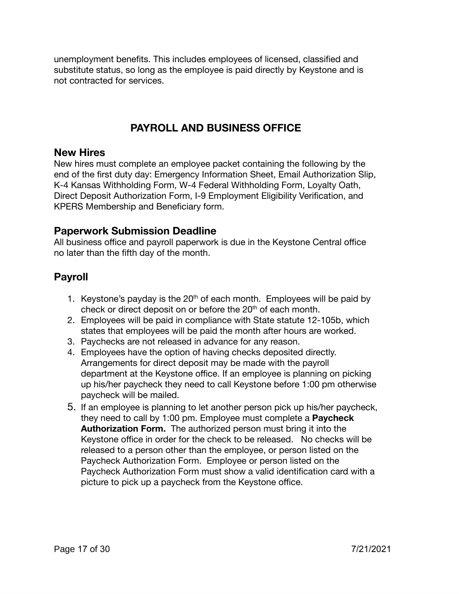unemployment benefits. This includes employees of licensed, classified and substitute status, so long as the employee is paid directly by Keystone and is not contracted for services.

# **PAYROLL AND BUSINESS OFFICE**

#### **New Hires**

New hires must complete an employee packet containing the following by the end of the first duty day: Emergency Information Sheet, Email Authorization Slip, K-4 Kansas Withholding Form, W-4 Federal Withholding Form, Loyalty Oath, Direct Deposit Authorization Form, I-9 Employment Eligibility Verification, and KPERS Membership and Beneficiary form.

### **Paperwork Submission Deadline**

All business office and payroll paperwork is due in the Keystone Central office no later than the fifth day of the month.

# **Payroll**

- 1. Keystone's payday is the  $20<sup>th</sup>$  of each month. Employees will be paid by check or direct deposit on or before the 20<sup>th</sup> of each month.
- 2. Employees will be paid in compliance with State statute 12-105b, which states that employees will be paid the month after hours are worked.
- 3. Paychecks are not released in advance for any reason.
- 4. Employees have the option of having checks deposited directly. Arrangements for direct deposit may be made with the payroll department at the Keystone office. If an employee is planning on picking up his/her paycheck they need to call Keystone before 1:00 pm otherwise paycheck will be mailed.
- 5. If an employee is planning to let another person pick up his/her paycheck, they need to call by 1:00 pm. Employee must complete a **Paycheck Authorization Form.** The authorized person must bring it into the Keystone office in order for the check to be released. No checks will be released to a person other than the employee, or person listed on the Paycheck Authorization Form. Employee or person listed on the Paycheck Authorization Form must show a valid identification card with a picture to pick up a paycheck from the Keystone office.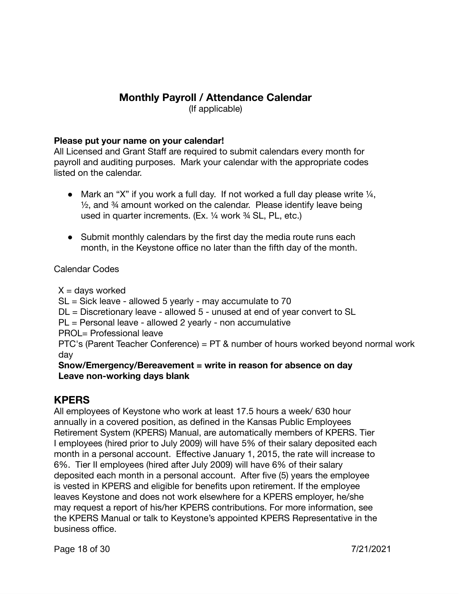# **Monthly Payroll / Attendance Calendar**

(If applicable)

#### **Please put your name on your calendar!**

All Licensed and Grant Staff are required to submit calendars every month for payroll and auditing purposes. Mark your calendar with the appropriate codes listed on the calendar.

- Mark an "X" if you work a full day. If not worked a full day please write  $\frac{1}{4}$ ,  $\frac{1}{2}$ , and  $\frac{3}{4}$  amount worked on the calendar. Please identify leave being used in quarter increments. (Ex. ¼ work ¾ SL, PL, etc.)
- Submit monthly calendars by the first day the media route runs each month, in the Keystone office no later than the fifth day of the month.

Calendar Codes

 $X =$  days worked

SL = Sick leave - allowed 5 yearly - may accumulate to 70

DL = Discretionary leave - allowed 5 - unused at end of year convert to SL

PL = Personal leave - allowed 2 yearly - non accumulative

PROL= Professional leave

PTC's (Parent Teacher Conference) = PT & number of hours worked beyond normal work day

#### **Snow/Emergency/Bereavement = write in reason for absence on day Leave non-working days blank**

# **KPERS**

All employees of Keystone who work at least 17.5 hours a week/ 630 hour annually in a covered position, as defined in the Kansas Public Employees Retirement System (KPERS) Manual, are automatically members of KPERS. Tier I employees (hired prior to July 2009) will have 5% of their salary deposited each month in a personal account. Effective January 1, 2015, the rate will increase to 6%. Tier II employees (hired after July 2009) will have 6% of their salary deposited each month in a personal account. After five (5) years the employee is vested in KPERS and eligible for benefits upon retirement. If the employee leaves Keystone and does not work elsewhere for a KPERS employer, he/she may request a report of his/her KPERS contributions. For more information, see the KPERS Manual or talk to Keystone's appointed KPERS Representative in the business office.

Page 18 of 30 7/21/2021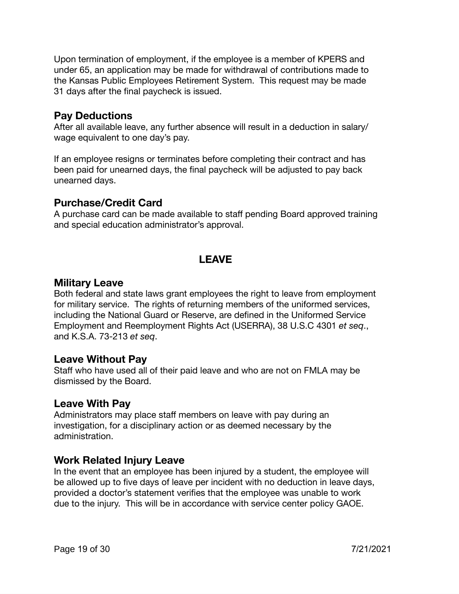Upon termination of employment, if the employee is a member of KPERS and under 65, an application may be made for withdrawal of contributions made to the Kansas Public Employees Retirement System. This request may be made 31 days after the final paycheck is issued.

### **Pay Deductions**

After all available leave, any further absence will result in a deduction in salary/ wage equivalent to one day's pay.

If an employee resigns or terminates before completing their contract and has been paid for unearned days, the final paycheck will be adjusted to pay back unearned days.

### **Purchase/Credit Card**

A purchase card can be made available to staff pending Board approved training and special education administrator's approval.

# **LEAVE**

### **Military Leave**

Both federal and state laws grant employees the right to leave from employment for military service. The rights of returning members of the uniformed services, including the National Guard or Reserve, are defined in the Uniformed Service Employment and Reemployment Rights Act (USERRA), 38 U.S.C 4301 *et seq*., and K.S.A. 73-213 *et seq*.

#### **Leave Without Pay**

Staff who have used all of their paid leave and who are not on FMLA may be dismissed by the Board.

### **Leave With Pay**

Administrators may place staff members on leave with pay during an investigation, for a disciplinary action or as deemed necessary by the administration.

# **Work Related Injury Leave**

In the event that an employee has been injured by a student, the employee will be allowed up to five days of leave per incident with no deduction in leave days, provided a doctor's statement verifies that the employee was unable to work due to the injury. This will be in accordance with service center policy GAOE.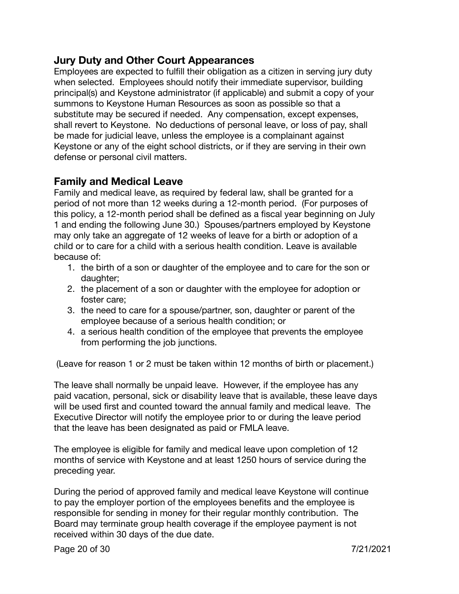### **Jury Duty and Other Court Appearances**

Employees are expected to fulfill their obligation as a citizen in serving jury duty when selected. Employees should notify their immediate supervisor, building principal(s) and Keystone administrator (if applicable) and submit a copy of your summons to Keystone Human Resources as soon as possible so that a substitute may be secured if needed. Any compensation, except expenses, shall revert to Keystone. No deductions of personal leave, or loss of pay, shall be made for judicial leave, unless the employee is a complainant against Keystone or any of the eight school districts, or if they are serving in their own defense or personal civil matters.

### **Family and Medical Leave**

Family and medical leave, as required by federal law, shall be granted for a period of not more than 12 weeks during a 12-month period. (For purposes of this policy, a 12-month period shall be defined as a fiscal year beginning on July 1 and ending the following June 30.) Spouses/partners employed by Keystone may only take an aggregate of 12 weeks of leave for a birth or adoption of a child or to care for a child with a serious health condition. Leave is available because of:

- 1. the birth of a son or daughter of the employee and to care for the son or daughter;
- 2. the placement of a son or daughter with the employee for adoption or foster care;
- 3. the need to care for a spouse/partner, son, daughter or parent of the employee because of a serious health condition; or
- 4. a serious health condition of the employee that prevents the employee from performing the job junctions.

(Leave for reason 1 or 2 must be taken within 12 months of birth or placement.)

The leave shall normally be unpaid leave. However, if the employee has any paid vacation, personal, sick or disability leave that is available, these leave days will be used first and counted toward the annual family and medical leave. The Executive Director will notify the employee prior to or during the leave period that the leave has been designated as paid or FMLA leave.

The employee is eligible for family and medical leave upon completion of 12 months of service with Keystone and at least 1250 hours of service during the preceding year.

During the period of approved family and medical leave Keystone will continue to pay the employer portion of the employees benefits and the employee is responsible for sending in money for their regular monthly contribution. The Board may terminate group health coverage if the employee payment is not received within 30 days of the due date.

Page 20 of 30 7/21/2021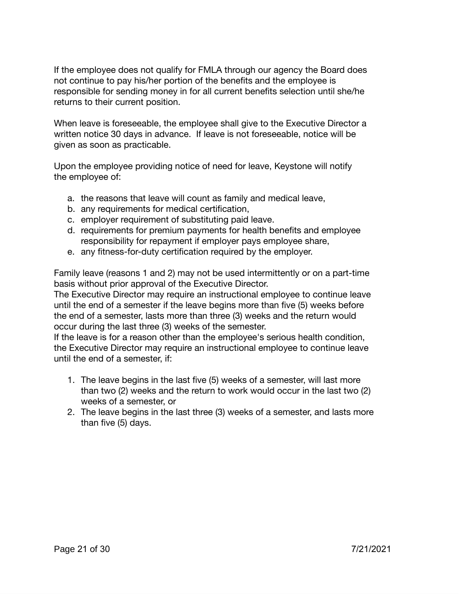If the employee does not qualify for FMLA through our agency the Board does not continue to pay his/her portion of the benefits and the employee is responsible for sending money in for all current benefits selection until she/he returns to their current position.

When leave is foreseeable, the employee shall give to the Executive Director a written notice 30 days in advance. If leave is not foreseeable, notice will be given as soon as practicable.

Upon the employee providing notice of need for leave, Keystone will notify the employee of:

- a. the reasons that leave will count as family and medical leave,
- b. any requirements for medical certification,
- c. employer requirement of substituting paid leave.
- d. requirements for premium payments for health benefits and employee responsibility for repayment if employer pays employee share,
- e. any fitness-for-duty certification required by the employer.

Family leave (reasons 1 and 2) may not be used intermittently or on a part-time basis without prior approval of the Executive Director.

The Executive Director may require an instructional employee to continue leave until the end of a semester if the leave begins more than five (5) weeks before the end of a semester, lasts more than three (3) weeks and the return would occur during the last three (3) weeks of the semester.

If the leave is for a reason other than the employee's serious health condition, the Executive Director may require an instructional employee to continue leave until the end of a semester, if:

- 1. The leave begins in the last five (5) weeks of a semester, will last more than two (2) weeks and the return to work would occur in the last two (2) weeks of a semester, or
- 2. The leave begins in the last three (3) weeks of a semester, and lasts more than five (5) days.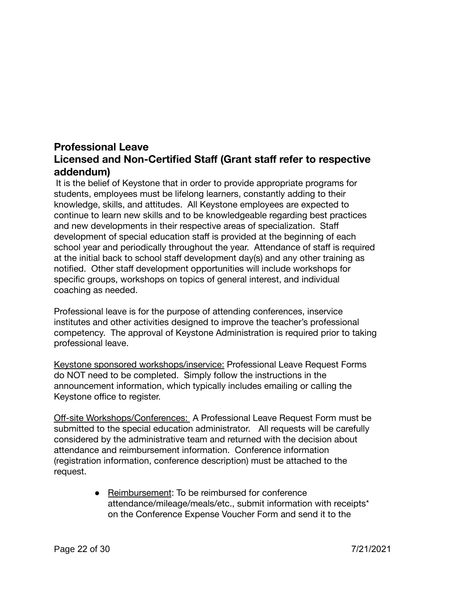# **Professional Leave Licensed and Non-Certified Staff (Grant staff refer to respective addendum)**

It is the belief of Keystone that in order to provide appropriate programs for students, employees must be lifelong learners, constantly adding to their knowledge, skills, and attitudes. All Keystone employees are expected to continue to learn new skills and to be knowledgeable regarding best practices and new developments in their respective areas of specialization. Staff development of special education staff is provided at the beginning of each school year and periodically throughout the year. Attendance of staff is required at the initial back to school staff development day(s) and any other training as notified. Other staff development opportunities will include workshops for specific groups, workshops on topics of general interest, and individual coaching as needed.

Professional leave is for the purpose of attending conferences, inservice institutes and other activities designed to improve the teacher's professional competency. The approval of Keystone Administration is required prior to taking professional leave.

Keystone sponsored workshops/inservice: Professional Leave Request Forms do NOT need to be completed. Simply follow the instructions in the announcement information, which typically includes emailing or calling the Keystone office to register.

Off-site Workshops/Conferences: A Professional Leave Request Form must be submitted to the special education administrator*.* All requests will be carefully considered by the administrative team and returned with the decision about attendance and reimbursement information. Conference information (registration information, conference description) must be attached to the request.

> ● Reimbursement: To be reimbursed for conference attendance/mileage/meals/etc., submit information with receipts\* on the Conference Expense Voucher Form and send it to the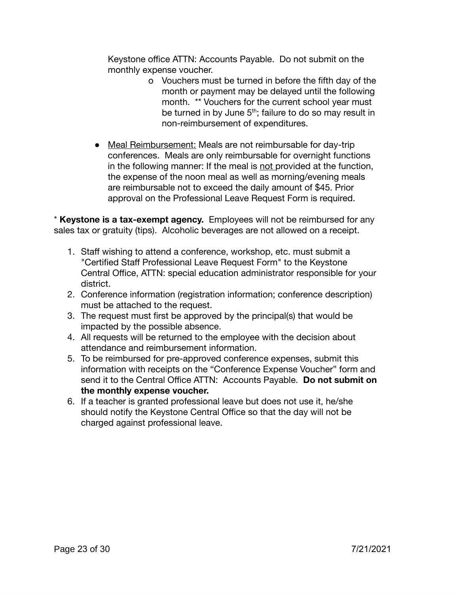Keystone office ATTN: Accounts Payable. Do not submit on the monthly expense voucher.

- o Vouchers must be turned in before the fifth day of the month or payment may be delayed until the following month. \*\* Vouchers for the current school year must be turned in by June  $5<sup>th</sup>$ ; failure to do so may result in non-reimbursement of expenditures.
- Meal Reimbursement: Meals are not reimbursable for day-trip conferences. Meals are only reimbursable for overnight functions in the following manner: If the meal is not provided at the function, the expense of the noon meal as well as morning/evening meals are reimbursable not to exceed the daily amount of \$45. Prior approval on the Professional Leave Request Form is required.

\* **Keystone is a tax-exempt agency.** Employees will not be reimbursed for any sales tax or gratuity (tips). Alcoholic beverages are not allowed on a receipt.

- 1. Staff wishing to attend a conference, workshop, etc. must submit a "Certified Staff Professional Leave Request Form" to the Keystone Central Office, ATTN: special education administrator responsible for your district.
- 2. Conference information (registration information; conference description) must be attached to the request.
- 3. The request must first be approved by the principal(s) that would be impacted by the possible absence.
- 4. All requests will be returned to the employee with the decision about attendance and reimbursement information.
- 5. To be reimbursed for pre-approved conference expenses, submit this information with receipts on the "Conference Expense Voucher" form and send it to the Central Office ATTN: Accounts Payable. **Do not submit on the monthly expense voucher.**
- 6. If a teacher is granted professional leave but does not use it, he/she should notify the Keystone Central Office so that the day will not be charged against professional leave.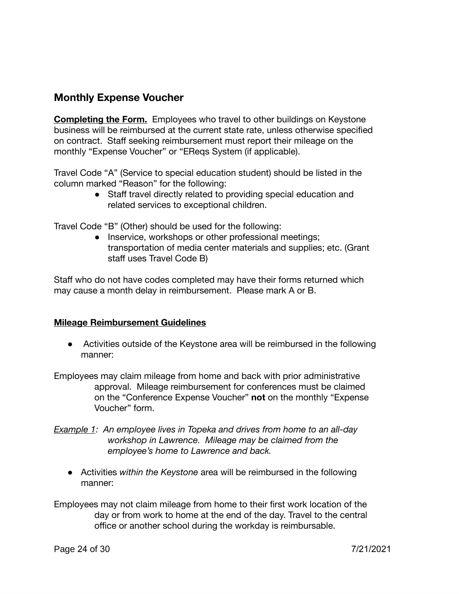### **Monthly Expense Voucher**

**Completing the Form.** Employees who travel to other buildings on Keystone business will be reimbursed at the current state rate, unless otherwise specified on contract. Staff seeking reimbursement must report their mileage on the monthly "Expense Voucher" or "EReqs System (if applicable).

Travel Code "A" (Service to special education student) should be listed in the column marked "Reason" for the following:

> ● Staff travel directly related to providing special education and related services to exceptional children.

Travel Code "B" (Other) should be used for the following:

• Inservice, workshops or other professional meetings; transportation of media center materials and supplies; etc. (Grant staff uses Travel Code B)

Staff who do not have codes completed may have their forms returned which may cause a month delay in reimbursement. Please mark A or B.

#### **Mileage Reimbursement Guidelines**

- Activities outside of the Keystone area will be reimbursed in the following manner:
- Employees may claim mileage from home and back with prior administrative approval. Mileage reimbursement for conferences must be claimed on the "Conference Expense Voucher" **not** on the monthly "Expense Voucher" form.
- *Example 1: An employee lives in Topeka and drives from home to an all-day workshop in Lawrence. Mileage may be claimed from the employee's home to Lawrence and back.*
	- Activities *within the Keystone* area will be reimbursed in the following manner:
- Employees may not claim mileage from home to their first work location of the day or from work to home at the end of the day. Travel to the central office or another school during the workday is reimbursable.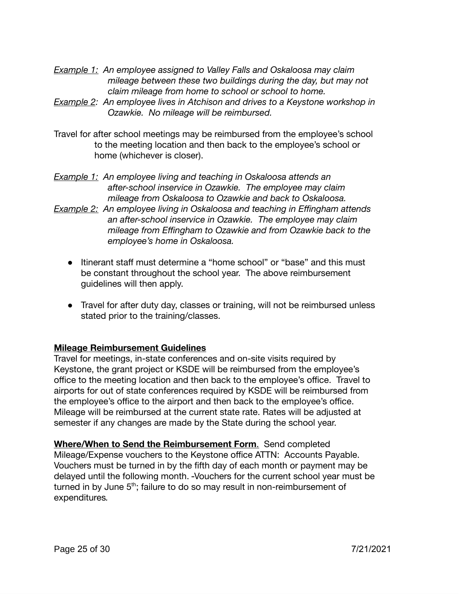- *Example 1: An employee assigned to Valley Falls and Oskaloosa may claim mileage between these two buildings during the day, but may not claim mileage from home to school or school to home.*
- *Example 2: An employee lives in Atchison and drives to a Keystone workshop in Ozawkie. No mileage will be reimbursed.*
- Travel for after school meetings may be reimbursed from the employee's school to the meeting location and then back to the employee's school or home (whichever is closer).
- *Example 1: An employee living and teaching in Oskaloosa attends an after-school inservice in Ozawkie. The employee may claim mileage from Oskaloosa to Ozawkie and back to Oskaloosa.*
- *Example 2: An employee living in Oskaloosa and teaching in Effingham attends an after-school inservice in Ozawkie. The employee may claim mileage from Effingham to Ozawkie and from Ozawkie back to the employee's home in Oskaloosa.*
	- Itinerant staff must determine a "home school" or "base" and this must be constant throughout the school year. The above reimbursement guidelines will then apply.
	- Travel for after duty day, classes or training, will not be reimbursed unless stated prior to the training/classes.

#### **Mileage Reimbursement Guidelines**

Travel for meetings, in-state conferences and on-site visits required by Keystone, the grant project or KSDE will be reimbursed from the employee's office to the meeting location and then back to the employee's office. Travel to airports for out of state conferences required by KSDE will be reimbursed from the employee's office to the airport and then back to the employee's office. Mileage will be reimbursed at the current state rate. Rates will be adjusted at semester if any changes are made by the State during the school year.

**Where/When to Send the Reimbursement Form**. Send completed Mileage/Expense vouchers to the Keystone office ATTN: Accounts Payable. Vouchers must be turned in by the fifth day of each month or payment may be delayed until the following month. Vouchers for the current school year must be turned in by June 5<sup>th</sup>; failure to do so may result in non-reimbursement of expenditures*.*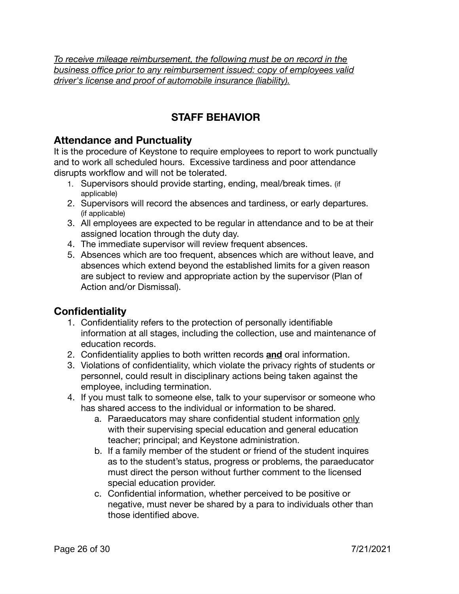*To receive mileage reimbursement, the following must be on record in the business office prior to any reimbursement issued: copy of employees valid driver's license and proof of automobile insurance (liability).*

# **STAFF BEHAVIOR**

### **Attendance and Punctuality**

It is the procedure of Keystone to require employees to report to work punctually and to work all scheduled hours. Excessive tardiness and poor attendance disrupts workflow and will not be tolerated.

- 1. Supervisors should provide starting, ending, meal/break times. (if applicable)
- 2. Supervisors will record the absences and tardiness, or early departures. (if applicable)
- 3. All employees are expected to be regular in attendance and to be at their assigned location through the duty day.
- 4. The immediate supervisor will review frequent absences.
- 5. Absences which are too frequent, absences which are without leave, and absences which extend beyond the established limits for a given reason are subject to review and appropriate action by the supervisor (Plan of Action and/or Dismissal).

# **Confidentiality**

- 1. Confidentiality refers to the protection of personally identifiable information at all stages, including the collection, use and maintenance of education records.
- 2. Confidentiality applies to both written records **and** oral information.
- 3. Violations of confidentiality, which violate the privacy rights of students or personnel, could result in disciplinary actions being taken against the employee, including termination.
- 4. If you must talk to someone else, talk to your supervisor or someone who has shared access to the individual or information to be shared.
	- a. Paraeducators may share confidential student information only with their supervising special education and general education teacher; principal; and Keystone administration.
	- b. If a family member of the student or friend of the student inquires as to the student's status, progress or problems, the paraeducator must direct the person without further comment to the licensed special education provider.
	- c. Confidential information, whether perceived to be positive or negative, must never be shared by a para to individuals other than those identified above.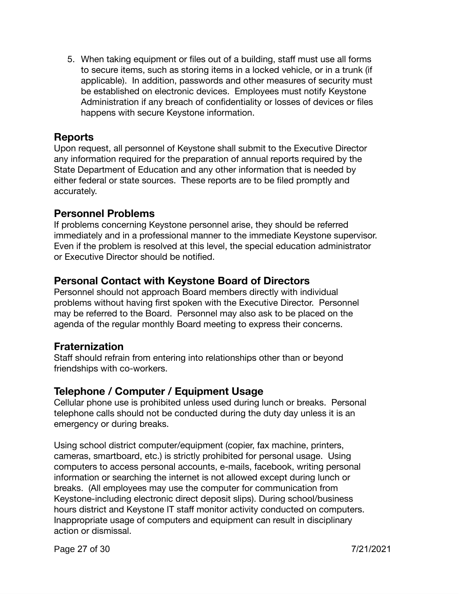5. When taking equipment or files out of a building, staff must use all forms to secure items, such as storing items in a locked vehicle, or in a trunk (if applicable). In addition, passwords and other measures of security must be established on electronic devices. Employees must notify Keystone Administration if any breach of confidentiality or losses of devices or files happens with secure Keystone information.

### <span id="page-26-0"></span>**Reports**

Upon request, all personnel of Keystone shall submit to the Executive Director any information required for the preparation of annual reports required by the State Department of Education and any other information that is needed by either federal or state sources. These reports are to be filed promptly and accurately.

### **Personnel Problems**

If problems concerning Keystone personnel arise, they should be referred immediately and in a professional manner to the immediate Keystone supervisor. Even if the problem is resolved at this level, the special education administrator or Executive Director should be notified.

# **Personal Contact with Keystone Board of Directors**

Personnel should not approach Board members directly with individual problems without having first spoken with the Executive Director. Personnel may be referred to the Board. Personnel may also ask to be placed on the agenda of the regular monthly Board meeting to express their concerns.

### **Fraternization**

Staff should refrain from entering into relationships other than or beyond friendships with co-workers.

# **Telephone / Computer / Equipment Usage**

Cellular phone use is prohibited unless used during lunch or breaks. Personal telephone calls should not be conducted during the duty day unless it is an emergency or during breaks.

Using school district computer/equipment (copier, fax machine, printers, cameras, smartboard, etc.) is strictly prohibited for personal usage. Using computers to access personal accounts, e-mails, facebook, writing personal information or searching the internet is not allowed except during lunch or breaks. (All employees may use the computer for communication from Keystone-including electronic direct deposit slips). During school/business hours district and Keystone IT staff monitor activity conducted on computers. Inappropriate usage of computers and equipment can result in disciplinary action or dismissal.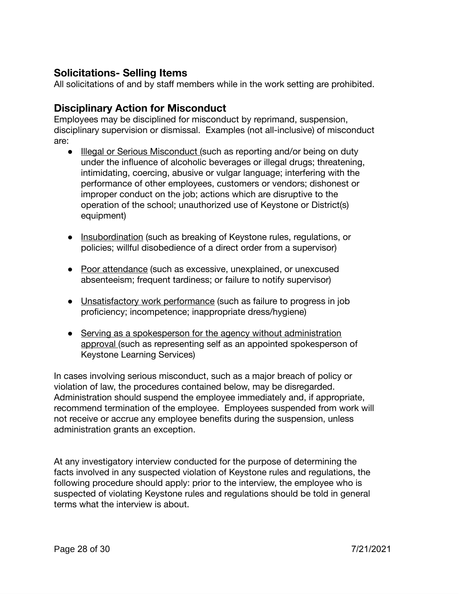### **Solicitations- Selling Items**

All solicitations of and by staff members while in the work setting are prohibited.

### **Disciplinary Action for Misconduct**

Employees may be disciplined for misconduct by reprimand, suspension, disciplinary supervision or dismissal. Examples (not all-inclusive) of misconduct are:

- Illegal or Serious Misconduct (such as reporting and/or being on duty under the influence of alcoholic beverages or illegal drugs; threatening, intimidating, coercing, abusive or vulgar language; interfering with the performance of other employees, customers or vendors; dishonest or improper conduct on the job; actions which are disruptive to the operation of the school; unauthorized use of Keystone or District(s) equipment)
- Insubordination (such as breaking of Keystone rules, regulations, or policies; willful disobedience of a direct order from a supervisor)
- Poor attendance (such as excessive, unexplained, or unexcused absenteeism; frequent tardiness; or failure to notify supervisor)
- Unsatisfactory work performance (such as failure to progress in job proficiency; incompetence; inappropriate dress/hygiene)
- *●* Serving as a spokesperson for the agency without administration approval (such as representing self as an appointed spokesperson of Keystone Learning Services)

In cases involving serious misconduct, such as a major breach of policy or violation of law, the procedures contained below, may be disregarded. Administration should suspend the employee immediately and, if appropriate, recommend termination of the employee. Employees suspended from work will not receive or accrue any employee benefits during the suspension, unless administration grants an exception.

At any investigatory interview conducted for the purpose of determining the facts involved in any suspected violation of Keystone rules and regulations, the following procedure should apply: prior to the interview, the employee who is suspected of violating Keystone rules and regulations should be told in general terms what the interview is about.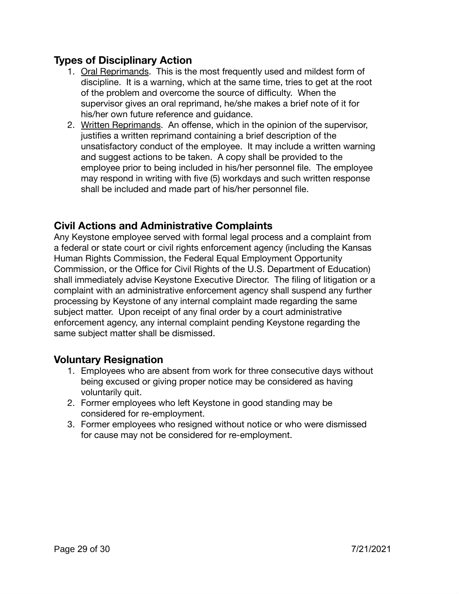# **Types of Disciplinary Action**

- 1. Oral Reprimands. This is the most frequently used and mildest form of discipline. It is a warning, which at the same time, tries to get at the root of the problem and overcome the source of difficulty. When the supervisor gives an oral reprimand, he/she makes a brief note of it for his/her own future reference and guidance.
- 2. Written Reprimands. An offense, which in the opinion of the supervisor, justifies a written reprimand containing a brief description of the unsatisfactory conduct of the employee. It may include a written warning and suggest actions to be taken. A copy shall be provided to the employee prior to being included in his/her personnel file. The employee may respond in writing with five (5) workdays and such written response shall be included and made part of his/her personnel file.

### **Civil Actions and Administrative Complaints**

Any Keystone employee served with formal legal process and a complaint from a federal or state court or civil rights enforcement agency (including the Kansas Human Rights Commission, the Federal Equal Employment Opportunity Commission, or the Office for Civil Rights of the U.S. Department of Education) shall immediately advise Keystone Executive Director. The filing of litigation or a complaint with an administrative enforcement agency shall suspend any further processing by Keystone of any internal complaint made regarding the same subject matter. Upon receipt of any final order by a court administrative enforcement agency, any internal complaint pending Keystone regarding the same subject matter shall be dismissed.

### **Voluntary Resignation**

- 1. Employees who are absent from work for three consecutive days without being excused or giving proper notice may be considered as having voluntarily quit.
- 2. Former employees who left Keystone in good standing may be considered for re-employment.
- 3. Former employees who resigned without notice or who were dismissed for cause may not be considered for re-employment.